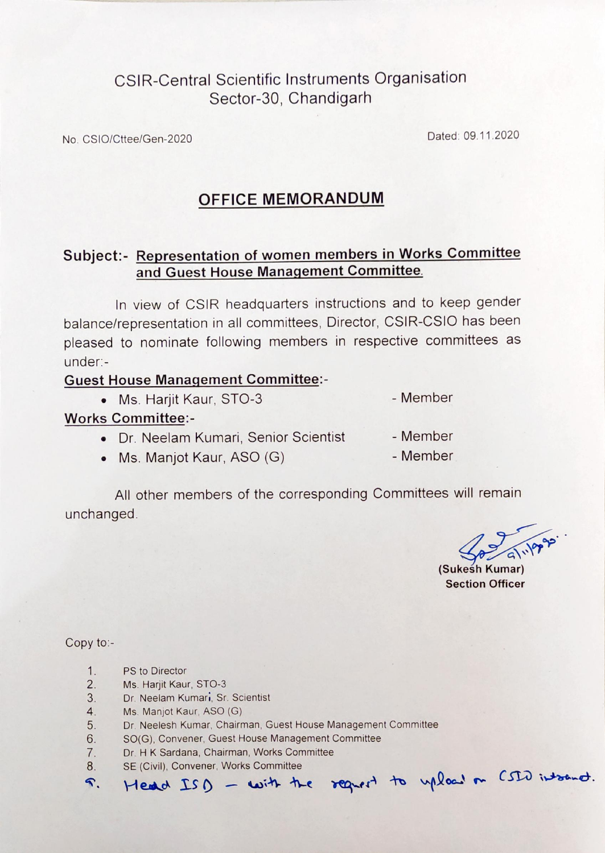# **CSIR-Central Scientific Instruments Organisation** Sector-30, Chandigarh

No. CSIO/Cttee/Gen-2020

Dated: 09.11.2020

## **OFFICE MEMORANDUM**

## Subject:- Representation of women members in Works Committee and Guest House Management Committee.

In view of CSIR headquarters instructions and to keep gender balance/representation in all committees, Director, CSIR-CSIO has been pleased to nominate following members in respective committees as under:-

#### **Guest House Management Committee:-**

• Ms. Harjit Kaur, STO-3

- Member

#### **Works Committee:-**

- Dr. Neelam Kumari, Senior Scientist
- Member

• Ms. Manjot Kaur, ASO (G)

- Member

All other members of the corresponding Committees will remain unchanged.

(Sukesh Kumar) **Section Officer** 

Copy to:-

 $\mathcal{R}_{\cdot}$ 

- $1.$ PS to Director
- $2.$ Ms. Harjit Kaur, STO-3
- $3.$ Dr. Neelam Kumari, Sr. Scientist
- Ms. Manjot Kaur, ASO (G)  $4.$
- $5.$ Dr. Neelesh Kumar, Chairman, Guest House Management Committee
- SO(G), Convener, Guest House Management Committee 6.
- Dr. H K Sardana, Chairman, Works Committee  $7.$
- SE (Civil), Convener, Works Committee  $8.$ Head ISD - with the regrest to upload on CSID into not.